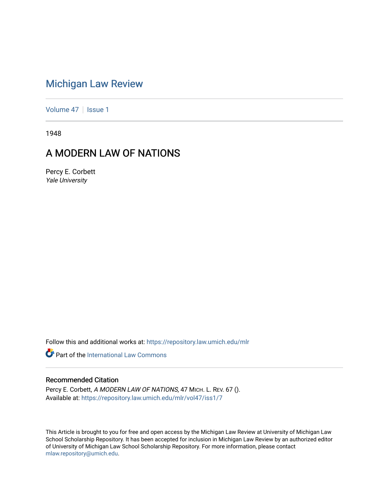# [Michigan Law Review](https://repository.law.umich.edu/mlr)

[Volume 47](https://repository.law.umich.edu/mlr/vol47) | [Issue 1](https://repository.law.umich.edu/mlr/vol47/iss1)

1948

# A MODERN LAW OF NATIONS

Percy E. Corbett Yale University

Follow this and additional works at: [https://repository.law.umich.edu/mlr](https://repository.law.umich.edu/mlr?utm_source=repository.law.umich.edu%2Fmlr%2Fvol47%2Fiss1%2F7&utm_medium=PDF&utm_campaign=PDFCoverPages) 

**P** Part of the International Law Commons

## Recommended Citation

Percy E. Corbett, A MODERN LAW OF NATIONS, 47 MICH. L. REV. 67 (). Available at: [https://repository.law.umich.edu/mlr/vol47/iss1/7](https://repository.law.umich.edu/mlr/vol47/iss1/7?utm_source=repository.law.umich.edu%2Fmlr%2Fvol47%2Fiss1%2F7&utm_medium=PDF&utm_campaign=PDFCoverPages)

This Article is brought to you for free and open access by the Michigan Law Review at University of Michigan Law School Scholarship Repository. It has been accepted for inclusion in Michigan Law Review by an authorized editor of University of Michigan Law School Scholarship Repository. For more information, please contact [mlaw.repository@umich.edu.](mailto:mlaw.repository@umich.edu)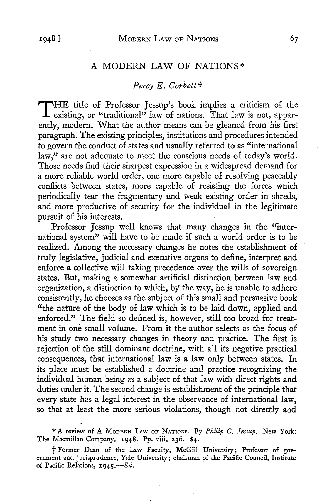### , A MODERN LAW OF NATIONS\*

### *Percy E. Corbettt*

THE title of Professor Jessup's book implies a criticism of the existing, or "traditional" law of nations. That law is not, apparently, modern. What the author means can be gleaned from his first paragraph. The existing principles, institutions and procedures intended to govern the conduct of states and usually referred to as "international law," are not adequate to meet the conscious needs of today's world. Those needs find their sharpest expression in a widespread demand for a more reliable world order, one more capable of resolving peaceably conflicts between states, more capable of resisting the forces which periodically tear the fragmentary and weak existing order in shreds, and more productive of security for the individual in the legitimate pursuit of his interests.

Professor Jessup well knows that many changes in the "international system" will have to be made if such a world order is to be realized. Among the necessary changes he notes the establishment of truly legislative, judicial and executive organs to define, interpret and enforce a collective will taking precedence over the wills of sovereign states. But, making a somewhat artificial distinction between law and organization, a distinction to which, by the way, he is unable to adhere consistently, he chooses as the subject of this small and persuasive book "the nature of the body of law which is to be laid down, applied and enforced." The field so defined is, however, still too broad for treatment in one small volume. From it the author selects as the focus of his study two necessary changes in theory and practice. The first is rejection of the still dominant doctrine, with all its negative practical consequences, that international law is a law only between states. In its place must be established a doctrine and practice recognizing the individual human being as a subject of that law with direct rights and duties under it. The second change is establishment of the principle that every state has a legal interest in the observance of international law, so that at least the more serious violations, though not directly and

\* A review of A MODERN LAW OF NATIONS. By *Philip C. Jessup.* New York: The Macmillan Company. 1948. Pp. viii, 236. \$4.

t Former Dean of the Law Faculty, McGill University; Professor of government and jurisprudence, Yale University; chairman of the Pacific Council, Institute of Pacific Relations,  $1945 - Ed$ .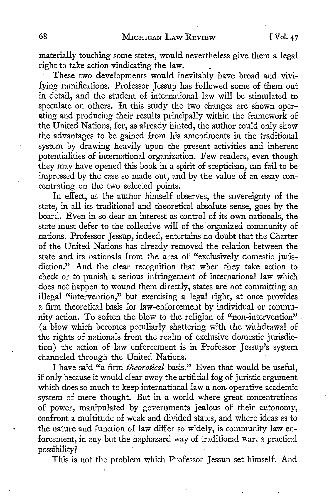materially touching some states, would nevertheless give them a legal right to take action vindicating the law. \_

These two developments would inevitably have broad and vivifying ramifications. Professor Jessup has followed some of them out in detail, and the student of international law will be stimulated to speculate on others. ln this study the two changes are shown operating and producing their results principally within the framework of the United Nations, for, as already hinted, the author could only show the advantages to be gained from his amendments in the traditional system by drawing heavily upon the present activities and inherent potentialities of international organization. Few readers, even though they may have opened this. book in a spirit of scepticism, can fail to be impressed by the case so made out, and by the value of an essay concentrating on the two selected points.

In effect, as the author himself observes, the sovereignty of the state, in all its traditional and theoretical absolute sense, goes by the board. Even in so dear an interest as control of its own nationals, the state must defer to the collective will of the organized community of nations. Professor Jessup, indeed, entertains no doubt that the Charter of the United Nations has already removed the relation between the state and its nationals from the area of "exclusively domestic jurisdiction." And the clear recognition that when they take action to check or to punish a serious infringement of international law which does not happen to wound them directly, states are not committing an illegal "intervention," but exercising a legal right, at once provides a firm theoretical basis for law-enforcement by individual or community action. To soften the blow to the religion of "non-intervention" . (a blow which becomes peculiarly shattering with the withdrawal of the rights of nationals from the realm of exclusive domestic jurisdiction) the action of law enforcement is in Professor Jessup's system channeled through the United Nations.

I have said "a firm *theoretical* basis." Even that would be useful, if only because it would clear away the artificial fog of juristic argument which does so much to keep international law a non-operative academic system of mere thought. But in a world where great concentrations of power, manipulated by governments jealous of their autonomy, confront a multitude of weak and divided states, and where ideas as to the nature and function of law differ so widely, is community law enforcement, in any but the haphazard way of traditional war, a practical possibility?

This is not the problem which Professor Jessup set himself. And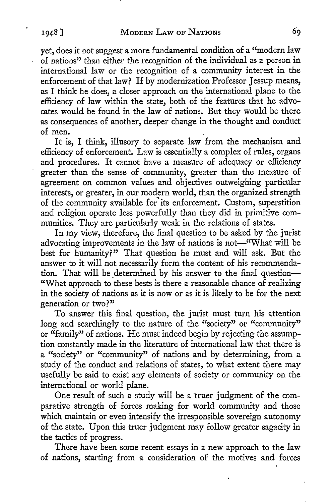yet, does it not suggest a more fundamental condition of a "modern law of nations" than either the recognition of the individual as a person in international law or the recognition of a community interest in the enforcement of that law? If by modernization Professor Jessup means, as I think he does, a closer approach on the international plane to the efficiency of law within the state, both of the features that he advocates would be found in the law of nations. But they would be there as consequences of another, deeper change in the thought and conduct of men. .

It is, I think, illusory *to* separate law from the mechanism and efficiency of enforcement. Law is essentially a complex of rules, organs and procedures. It cannot have a measure of adequacy or efficiency greater than the sense of community, greater than the measure of agreement on common values and objectives outweighing particular interests, or greater, in our modern world, than the organized strength of the community available for' its enforcement. Custom, superstition and religion operate less powerfully than they did in primitive communities. They are particularly weak in the relations of states.

In my view, therefore, the final question to be asked by the jurist advocating improvements in the law of nations is not-"What will be best for humanity?" That question he must and will ask. But the answer to it will not necessarily form the content of his recommendation. That will be determined by his answer to the final question-"What approach to these bests is there a reasonable chance of realizing in the society of nations as it is now or as it is likely to be for the next generation or two?"

To answer this final question, the jurist must turn his attention long and searchingly to the nature of the "society" or "community" or "family" of nations. He must indeed begin by rejecting the assumption constantly made in the literature of international law that there is a "society" or "community" of nations and by determining, from a study of the conduct and relations of states, to what extent there may usefully be said *to* exist any elements of society or community on the international or world plane.

One result of such a study will be a truer judgment of the comparative strength of forces making for world community and those which maintain or even intensify the irresponsible sovereign autonomy of the state. Upon this truer judgment may follow greater sagacity in the tactics of progress.

There have been some recent essays in a new approach to the law of nations, starting from a consideration of the motives and forces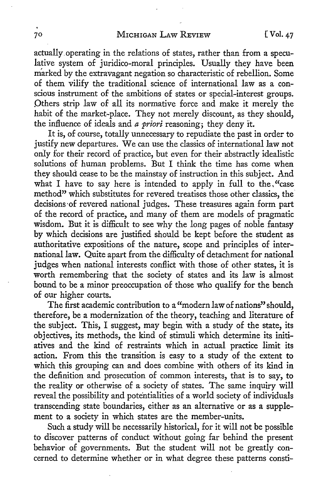actually operating in the relations of states, rather than from a speculative system of juridico-moral principles. Usually they have been marked by the extravagant negation so characteristic of rebellion. Some of them vilify the traditional science of international law as a conscious instrument of the ambitions of states or special-interest groups. Others strip law of all its normative force and make it merely the habit of the market-place. They not merely discount, as they should, the influence of ideals and *a priori* reasoning; they deny it.

It is, of course, totaily unnecessary to repudiate the past in order to justify new departures. We can use the classics of international law not only for their record of practice, but even for their abstractly idealistic solutions of human problems. But I think the time has come when they should. cease to be the mainstay of instruction in this subject. And what I have to say here is intended to apply in full to the "case method" which substitutes for revered treatises those other classics, the decisions ·of revered national judges. These treasures again form part of the record of practice, and many of them are models of pragmatic wisdom. But it is difficult to see why the long pages of noble fantasy by which decisions are justified should be kept before the student as authoritative expositions of the nature, scope and principles of international law. Quite apart from the difficulty of detachment for national judges when national interests conflict with those of other states, it is worth remembering that the society of states and its law is almost bound to be a minor preoccupation of those who qualify for the bench of our higher courts.

The first academic contribution to a "modern law of nations" should, therefore, be a modernization of the theory, teaching and literature of the subject. This, I suggest, may begin with a study of the state, its objectives, its methods, the kind of stimuli which determine its initiatives and the kind of restraints which in actual practice limit its action. From this the transition is easy to a study of the extent to which this grouping can and does combine with others of its kind in the definition and prosecution of common interests, that is to say, to the reality or otherwise of a society of states. The same inquiry will reveal the possibility and potentialities of a world society of individuals transcending state boundaries, either as an alternative or as a supplement to a society in which states are the member-units.

Such a study will be necessarily historical, for it will not be possible to discover patterns of conduct without going far behind the present behavior of governments. But the student will not be greatly concerned to determine whether or in what degree these patterns consti-